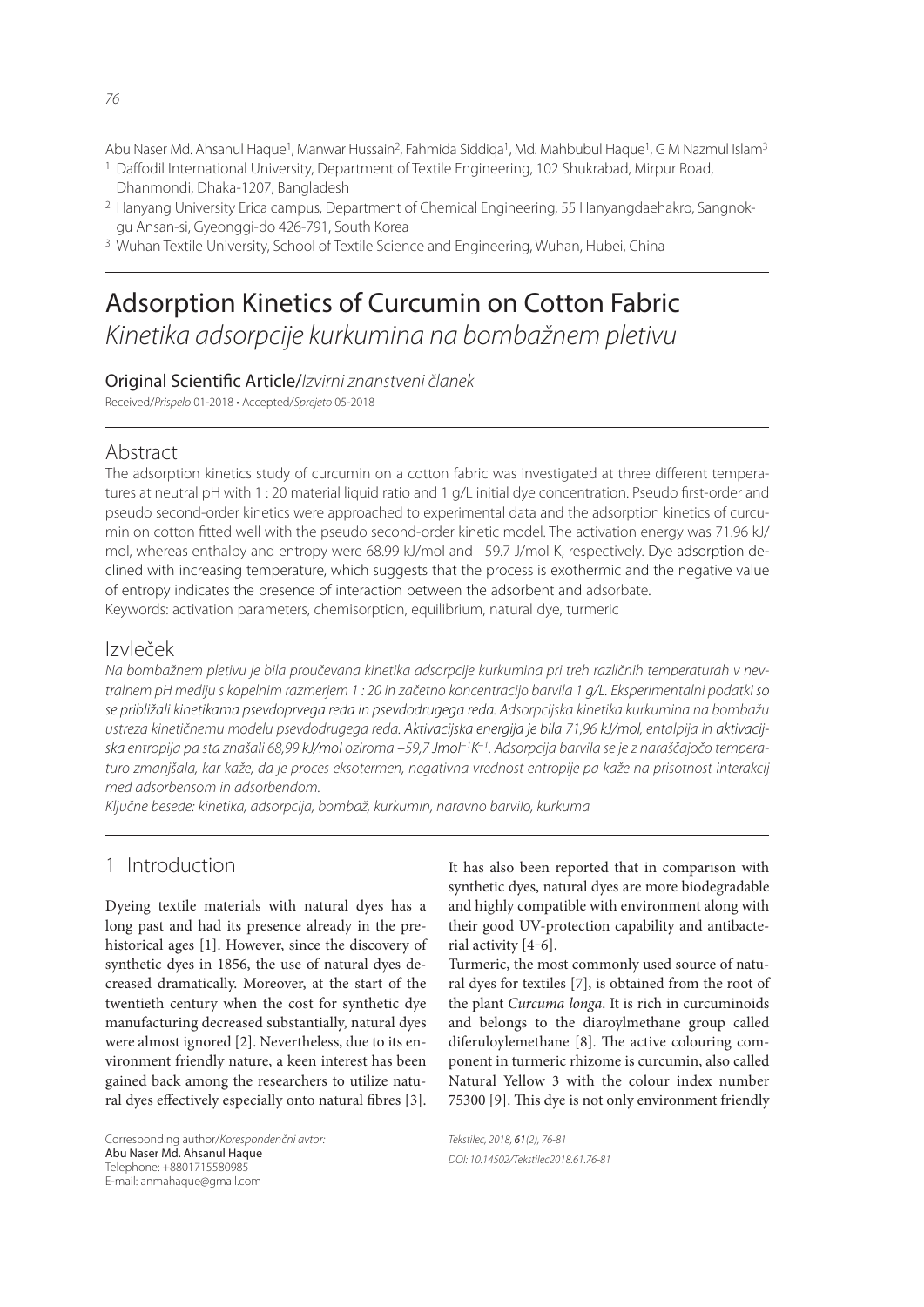Abu Naser Md. Ahsanul Haque<sup>1</sup>, Manwar Hussain<sup>2</sup>, Fahmida Siddiqa<sup>1</sup>, Md. Mahbubul Haque<sup>1</sup>, G M Nazmul Islam<sup>3</sup>

- <sup>1</sup> Daffodil International University, Department of Textile Engineering, 102 Shukrabad, Mirpur Road, Dhanmondi, Dhaka-1207, Bangladesh
- 2 Hanyang University Erica campus, Department of Chemical Engineering, 55 Hanyangdaehakro, Sangnokgu Ansan-si, Gyeonggi-do 426-791, South Korea
- 3 Wuhan Textile University, School of Textile Science and Engineering, Wuhan, Hubei, China

# Adsorption Kinetics of Curcumin on Cotton Fabric Kinetika adsorpcije kurkumina na bombažnem pletivu

Original Scientific Article/Izvirni znanstveni članek

Received/Prispelo 01-2018 • Accepted/Sprejeto 05-2018

# Abstract

The adsorption kinetics study of curcumin on a cotton fabric was investigated at three different temperatures at neutral pH with 1 : 20 material liquid ratio and 1 g/L initial dye concentration. Pseudo first-order and pseudo second-order kinetics were approached to experimental data and the adsorption kinetics of curcumin on cotton fitted well with the pseudo second-order kinetic model. The activation energy was 71.96 kJ/ mol, whereas enthalpy and entropy were 68.99 kJ/mol and –59.7 J/mol K, respectively. Dye adsorption declined with increasing temperature, which suggests that the process is exothermic and the negative value of entropy indicates the presence of interaction between the adsorbent and adsorbate. Keywords: activation parameters, chemisorption, equilibrium, natural dye, turmeric

# Izvleček

Na bombažnem pletivu je bila proučevana kinetika adsorpcije kurkumina pri treh različnih temperaturah v nevtralnem pH mediju s kopelnim razmerjem 1 : 20 in začetno koncentracijo barvila 1 g/L. Eksperimentalni podatki so se približali kinetikama psevdoprvega reda in psevdodrugega reda. Adsorpcijska kinetika kurkumina na bombažu ustreza kinetičnemu modelu psevdodrugega reda. Aktivacijska energija je bila 71,96 kJ/mol, entalpija in aktivacijska entropija pa sta znašali 68,99 kJ/mol oziroma –59,7 Jmol–1K–1. Adsorpcija barvila se je z naraščajočo temperaturo zmanjšala, kar kaže, da je proces eksotermen, negativna vrednost entropije pa kaže na prisotnost interakcij med adsorbensom in adsorbendom.

Ključne besede: kinetika, adsorpcija, bombaž, kurkumin, naravno barvilo, kurkuma

# 1 Introduction

Dyeing textile materials with natural dyes has a long past and had its presence already in the prehistorical ages [1]. However, since the discovery of synthetic dyes in 1856, the use of natural dyes decreased dramatically. Moreover, at the start of the twentieth century when the cost for synthetic dye manufacturing decreased substantially, natural dyes were almost ignored [2]. Nevertheless, due to its environment friendly nature, a keen interest has been gained back among the researchers to utilize natural dyes effectively especially onto natural fibres [3]. It has also been reported that in comparison with synthetic dyes, natural dyes are more biodegradable and highly compatible with environment along with their good UV-protection capability and antibacterial activity [4‒6].

Turmeric, the most commonly used source of natural dyes for textiles [7], is obtained from the root of the plant *Curcuma longa*. It is rich in curcuminoids and belongs to the diaroylmethane group called diferuloylemethane [8]. The active colouring component in turmeric rhizome is curcumin, also called Natural Yellow 3 with the colour index number 75300 [9]. This dye is not only environment friendly

Tekstilec, 2018, 61(2), 76-81 DOI: 10.14502/Tekstilec2018.61.76-81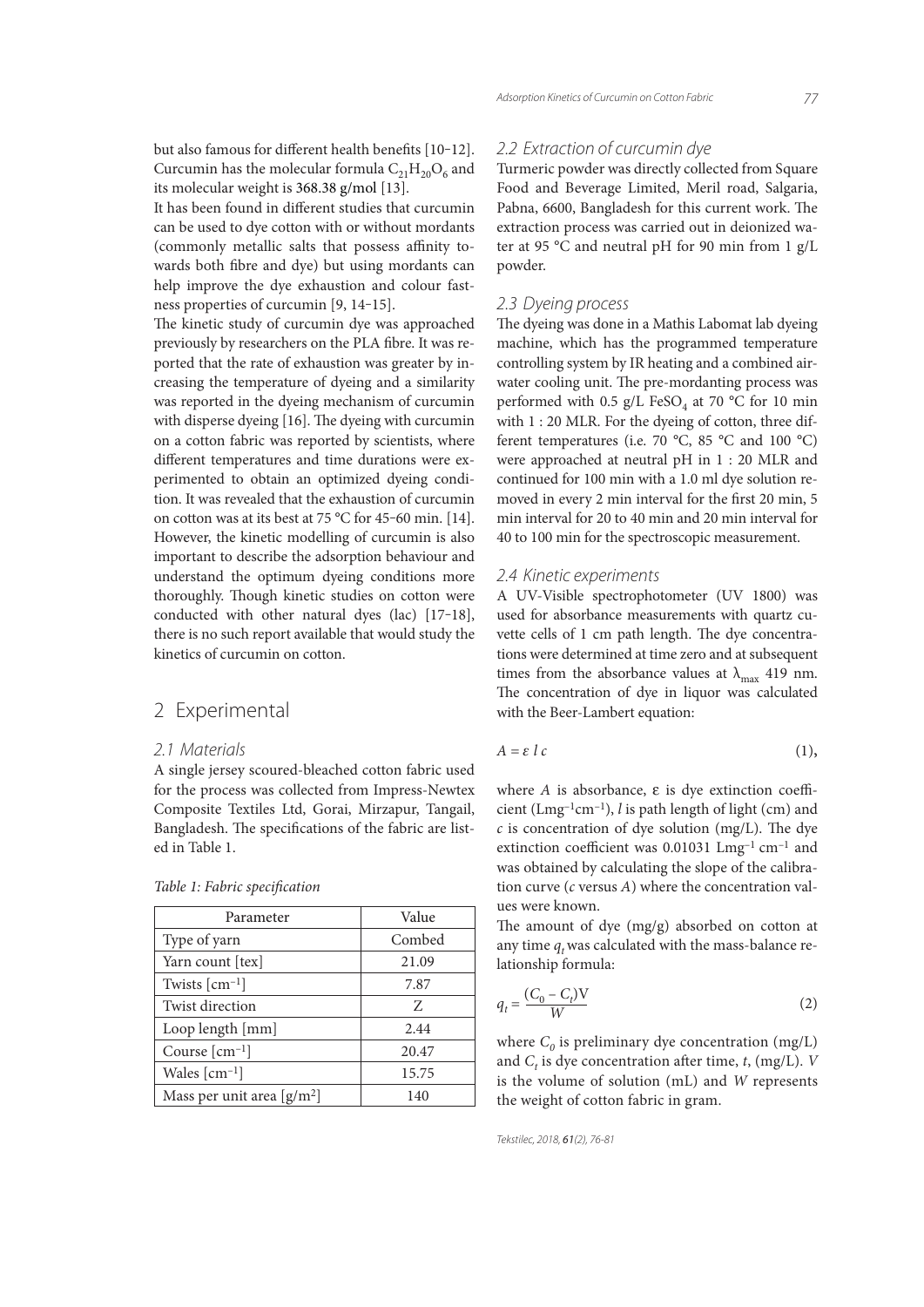but also famous for different health benefits [10-12]. Curcumin has the molecular formula  $C_{21}H_{20}O_6$  and its molecular weight is 368.38 g/mol [13].

It has been found in different studies that curcumin can be used to dye cotton with or without mordants (commonly metallic salts that possess affinity towards both fibre and dye) but using mordants can help improve the dye exhaustion and colour fastness properties of curcumin [9, 14-15].

The kinetic study of curcumin dye was approached previously by researchers on the PLA fibre. It was reported that the rate of exhaustion was greater by increasing the temperature of dyeing and a similarity was reported in the dyeing mechanism of curcumin with disperse dyeing [16]. The dyeing with curcumin on a cotton fabric was reported by scientists, where different temperatures and time durations were experimented to obtain an optimized dyeing condition. It was revealed that the exhaustion of curcumin on cotton was at its best at 75 °C for 45-60 min. [14]. However, the kinetic modelling of curcumin is also important to describe the adsorption behaviour and understand the optimum dyeing conditions more thoroughly. Though kinetic studies on cotton were conducted with other natural dyes (lac) [17‒18], there is no such report available that would study the kinetics of curcumin on cotton.

## 2 Experimental

#### 2.1 Materials

A single jersey scoured-bleached cotton fabric used for the process was collected from Impress-Newtex Composite Textiles Ltd, Gorai, Mirzapur, Tangail, Bangladesh. The specifications of the fabric are listed in Table 1.

| <i>INOR 1. I WOTTO SPECIFICATION</i> |  |  |  |  |
|--------------------------------------|--|--|--|--|
|                                      |  |  |  |  |

*Table 1: Fabric specifi cation*

| Parameter                                 | Value  |  |  |
|-------------------------------------------|--------|--|--|
| Type of yarn                              | Combed |  |  |
| Yarn count [tex]                          | 21.09  |  |  |
| Twists $\lceil$ cm <sup>-1</sup> $\rceil$ | 7.87   |  |  |
| Twist direction                           | Z      |  |  |
| Loop length [mm]                          | 2.44   |  |  |
| Course $\lceil$ cm <sup>-1</sup> $\rceil$ | 20.47  |  |  |
| Wales $\lceil$ cm <sup>-1</sup> $\rceil$  | 15.75  |  |  |
| Mass per unit area $[g/m^2]$              | 140    |  |  |

#### 2.2 Extraction of curcumin dye

Turmeric powder was directly collected from Square Food and Beverage Limited, Meril road, Salgaria, Pabna, 6600, Bangladesh for this current work. The extraction process was carried out in deionized water at 95 °C and neutral pH for 90 min from 1 g/L powder.

#### 2.3 Dyeing process

The dyeing was done in a Mathis Labomat lab dyeing machine, which has the programmed temperature controlling system by IR heating and a combined airwater cooling unit. The pre-mordanting process was performed with 0.5 g/L FeSO<sub>4</sub> at 70 °C for 10 min with 1 : 20 MLR. For the dyeing of cotton, three different temperatures (i.e. 70 °C, 85 °C and 100 °C) were approached at neutral pH in 1 : 20 MLR and continued for 100 min with a 1.0 ml dye solution removed in every 2 min interval for the first 20 min, 5 min interval for 20 to 40 min and 20 min interval for 40 to 100 min for the spectroscopic measurement.

#### 2.4 Kinetic experiments

A UV-Visible spectrophotometer (UV 1800) was used for absorbance measurements with quartz cuvette cells of 1 cm path length. The dye concentrations were determined at time zero and at subsequent times from the absorbance values at  $\lambda_{\text{max}}$  419 nm. The concentration of dye in liquor was calculated with the Beer-Lambert equation:

$$
A = \varepsilon \, l \, c \tag{1}
$$

where  $A$  is absorbance,  $\varepsilon$  is dye extinction coefficient (Lmg–1cm–1), *l* is path length of light (cm) and  $c$  is concentration of dye solution (mg/L). The dye extinction coefficient was  $0.01031$  Lmg<sup>-1</sup> cm<sup>-1</sup> and was obtained by calculating the slope of the calibration curve (*c* versus *A*) where the concentration values were known.

The amount of dye (mg/g) absorbed on cotton at any time  $q_t$  was calculated with the mass-balance relationship formula:

$$
q_t = \frac{(C_0 - C_t)V}{W}
$$
 (2)

where  $C_0$  is preliminary dye concentration  $(\mathrm{mg/L})$ and  $C_t$  is dye concentration after time,  $t$ , (mg/L). *V* is the volume of solution (mL) and *W* represents the weight of cotton fabric in gram.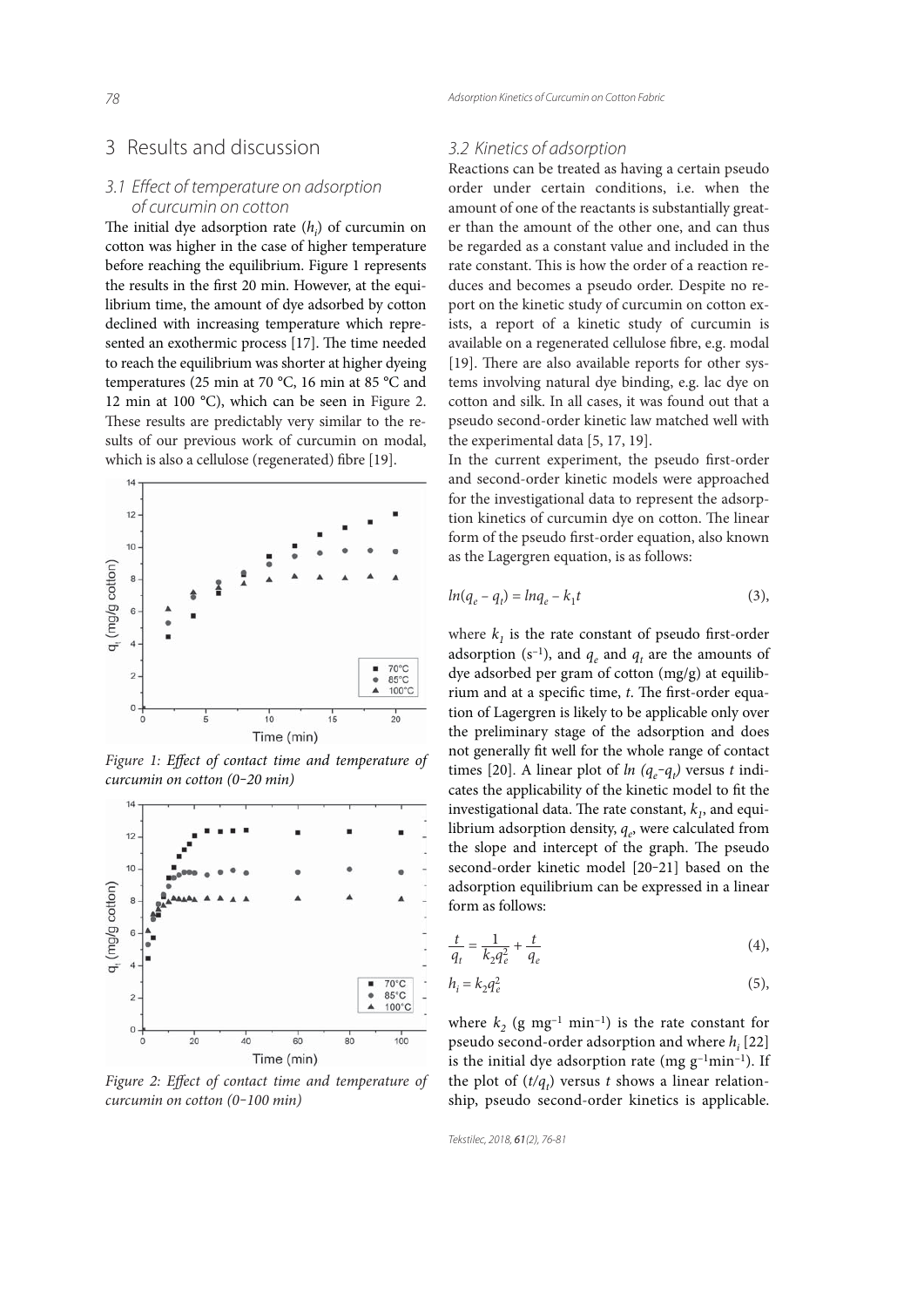# 3 Results and discussion

### 3.1 Effect of temperature on adsorption of curcumin on cotton

The initial dye adsorption rate  $(h_i)$  of curcumin on cotton was higher in the case of higher temperature before reaching the equilibrium. Figure 1 represents the results in the first 20 min. However, at the equilibrium time, the amount of dye adsorbed by cotton declined with increasing temperature which represented an exothermic process [17]. The time needed to reach the equilibrium was shorter at higher dyeing temperatures (25 min at 70 °C, 16 min at 85 °C and 12 min at 100 °C), which can be seen in Figure 2. These results are predictably very similar to the results of our previous work of curcumin on modal, which is also a cellulose (regenerated) fibre [19].



Figure 1: Effect of contact time and temperature of *curcumin on cotton (0‒20 min)*



Figure 2: Effect of contact time and temperature of *curcumin on cotton (0‒100 min)*

### 3.2 Kinetics of adsorption

Reactions can be treated as having a certain pseudo order under certain conditions, i.e. when the amount of one of the reactants is substantially greater than the amount of the other one, and can thus be regarded as a constant value and included in the rate constant. This is how the order of a reaction reduces and becomes a pseudo order. Despite no report on the kinetic study of curcumin on cotton exists, a report of a kinetic study of curcumin is available on a regenerated cellulose fibre, e.g. modal [19]. There are also available reports for other systems involving natural dye binding, e.g. lac dye on cotton and silk. In all cases, it was found out that a pseudo second-order kinetic law matched well with the experimental data [5, 17, 19].

In the current experiment, the pseudo first-order and second-order kinetic models were approached for the investigational data to represent the adsorption kinetics of curcumin dye on cotton. The linear form of the pseudo first-order equation, also known as the Lagergren equation, is as follows:

$$
ln(q_e - q_t) = lnq_e - k_1t
$$
\n(3),

where  $k_1$  is the rate constant of pseudo first-order adsorption (s<sup>-1</sup>), and  $q_e$  and  $q_t$  are the amounts of dye adsorbed per gram of cotton (mg/g) at equilibrium and at a specific time, *t*. The first-order equation of Lagergren is likely to be applicable only over the preliminary stage of the adsorption and does not generally fit well for the whole range of contact times [20]. A linear plot of *ln*  $(q_e - q_t)$  versus *t* indicates the applicability of the kinetic model to fit the investigational data. The rate constant,  $k<sub>1</sub>$ , and equilibrium adsorption density,  $q_e$ , were calculated from the slope and intercept of the graph. The pseudo second-order kinetic model [20-21] based on the adsorption equilibrium can be expressed in a linear form as follows:

$$
\frac{t}{q_t} = \frac{1}{k_2 q_e^2} + \frac{t}{q_e}
$$
 (4),

$$
h_i = k_2 q_e^2 \tag{5}
$$

where  $k_2$  (g mg<sup>-1</sup> min<sup>-1</sup>) is the rate constant for pseudo second-order adsorption and where *hi* [22] is the initial dye adsorption rate (mg  $g^{-1}$ min<sup>-1</sup>). If the plot of  $(t/q_t)$  versus *t* shows a linear relationship, pseudo second-order kinetics is applicable.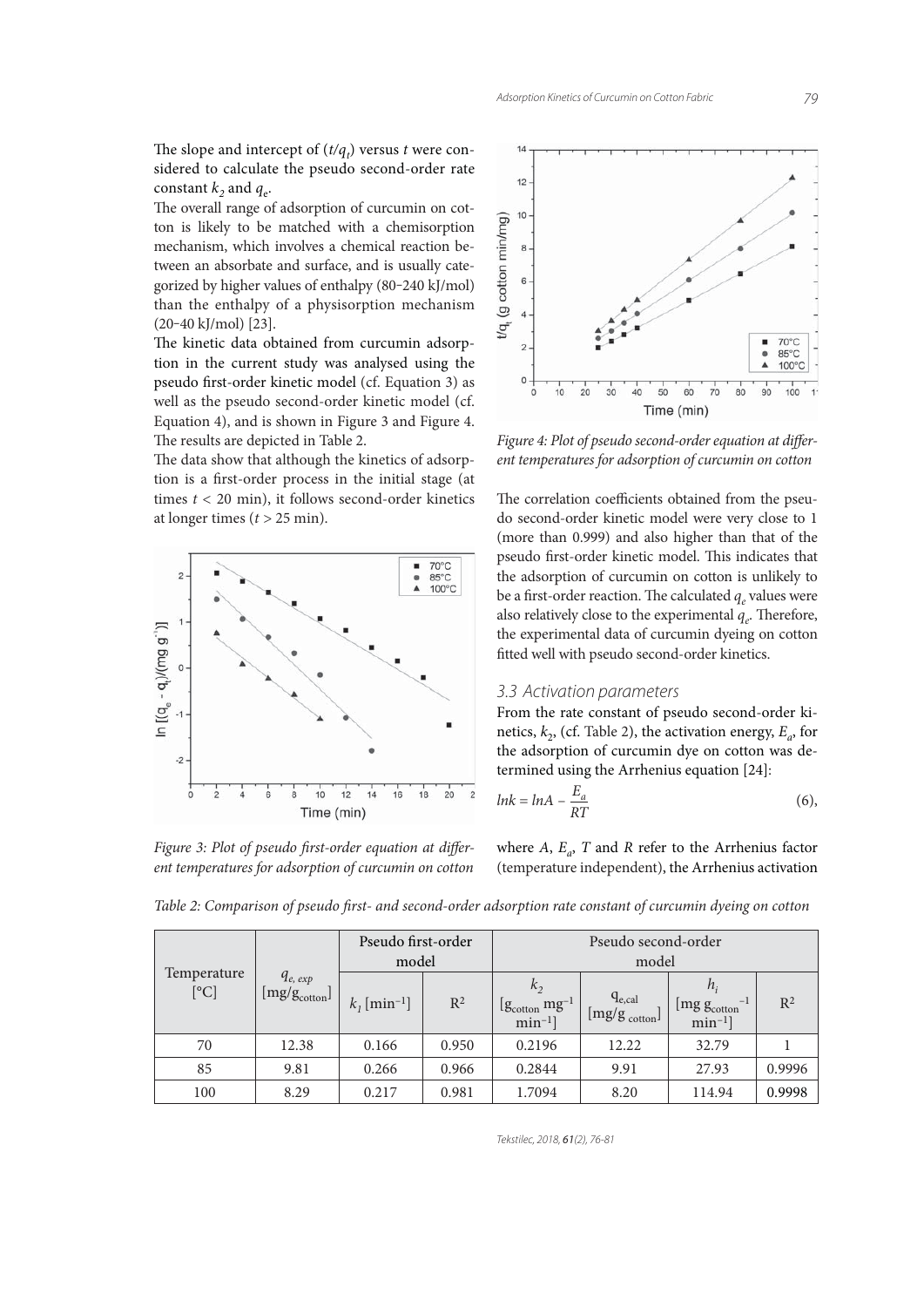79

The slope and intercept of  $(t/q_t)$  versus *t* were considered to calculate the pseudo second-order rate constant  $k_2$  and  $q_e$ .

The overall range of adsorption of curcumin on cotton is likely to be matched with a chemisorption mechanism, which involves a chemical reaction between an absorbate and surface, and is usually categorized by higher values of enthalpy (80-240 kJ/mol) than the enthalpy of a physisorption mechanism  $(20-40 \text{ kJ/mol})$  [23].

The kinetic data obtained from curcumin adsorption in the current study was analysed using the pseudo first-order kinetic model (cf. Equation 3) as well as the pseudo second-order kinetic model (cf. Equation 4), and is shown in Figure 3 and Figure 4. The results are depicted in Table 2.

The data show that although the kinetics of adsorption is a first-order process in the initial stage (at times  $t < 20$  min), it follows second-order kinetics at longer times  $(t > 25$  min).



Figure 3: Plot of pseudo first-order equation at differ*ent temperatures for adsorption of curcumin on cotton*



Figure 4: Plot of pseudo second-order equation at differ*ent temperatures for adsorption of curcumin on cotton*

The correlation coefficients obtained from the pseudo second-order kinetic model were very close to 1 (more than 0.999) and also higher than that of the pseudo first-order kinetic model. This indicates that the adsorption of curcumin on cotton is unlikely to be a first-order reaction. The calculated  $q_e$  values were also relatively close to the experimental  $q_e$ . Therefore, the experimental data of curcumin dyeing on cotton fitted well with pseudo second-order kinetics.

#### 3.3 Activation parameters

From the rate constant of pseudo second-order kinetics,  $k_2$ , (cf. Table 2), the activation energy,  $E_a$ , for the adsorption of curcumin dye on cotton was determined using the Arrhenius equation [24]:

$$
lnk = lnA - \frac{E_a}{RT}
$$
 (6),

where  $A$ ,  $E_a$ ,  $T$  and  $R$  refer to the Arrhenius factor (temperature independent), the Arrhenius activation

| Temperature<br>[°C] | $q_{e, exp}$<br>$[\mathrm{mg/g}_{\mathrm{cottom}}]$ | Pseudo first-order<br>model |       | Pseudo second-order<br>model                                           |                                                   |                                                                                                |        |
|---------------------|-----------------------------------------------------|-----------------------------|-------|------------------------------------------------------------------------|---------------------------------------------------|------------------------------------------------------------------------------------------------|--------|
|                     |                                                     | $k_1$ [min <sup>-1</sup> ]  | $R^2$ | k <sub>2</sub><br>$[g_{\text{cottom}}\text{ mg}^{-1}]$<br>$min^{-1}$ ] | $q_{e,cal}$<br>$\lfloor mg/g_{\rm cotton}\rfloor$ | $h_{\cdot}$<br>$^{-1}$<br>$\left[\text{mg} \, \text{g}_{\text{cottom}}\right]$<br>$min^{-1}$ ] | $R^2$  |
| 70                  | 12.38                                               | 0.166                       | 0.950 | 0.2196                                                                 | 12.22                                             | 32.79                                                                                          |        |
| 85                  | 9.81                                                | 0.266                       | 0.966 | 0.2844                                                                 | 9.91                                              | 27.93                                                                                          | 0.9996 |
| 100                 | 8.29                                                | 0.217                       | 0.981 | 1.7094                                                                 | 8.20                                              | 114.94                                                                                         | 0.9998 |

*Table 2: Comparison of pseudo first- and second-order adsorption rate constant of curcumin dyeing on cotton* 

Tekstilec, 2018, 61(2), 76-81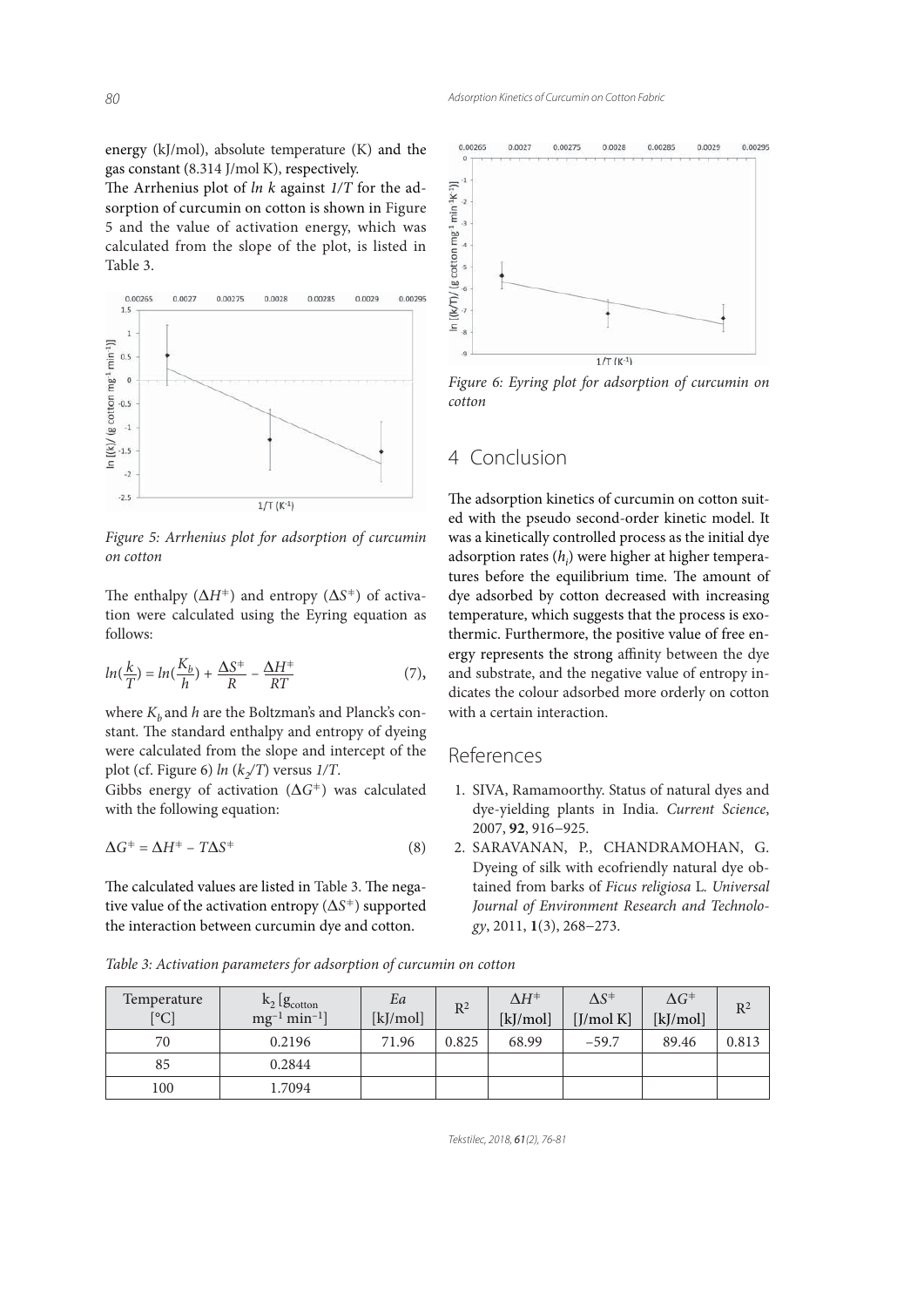energy (kJ/mol), absolute temperature (K) and the gas constant (8.314 J/mol K), respectively.

The Arrhenius plot of *ln k* against  $1/T$  for the adsorption of curcumin on cotton is shown in Figure 5 and the value of activation energy, which was calculated from the slope of the plot, is listed in Table 3.



*Figure 5: Arrhenius plot for adsorption of curcumin on cotton*

The enthalpy  $(\Delta H^+)$  and entropy  $(\Delta S^+)$  of activation were calculated using the Eyring equation as follows:

$$
ln(\frac{k}{T}) = ln(\frac{K_b}{h}) + \frac{\Delta S^+}{R} - \frac{\Delta H^+}{RT}
$$
 (7),

where  $K_b$  and  $h$  are the Boltzman's and Planck's constant. The standard enthalpy and entropy of dyeing were calculated from the slope and intercept of the plot (cf. Figure 6)  $ln (k/T)$  versus  $1/T$ .

Gibbs energy of activation  $(\Delta G^+)$  was calculated with the following equation:

$$
\Delta G^+ = \Delta H^+ - T\Delta S^+ \tag{8}
$$

The calculated values are listed in Table 3. The negative value of the activation entropy ( $\Delta S^+$ ) supported the interaction between curcumin dye and cotton.



*Figure 6: Eyring plot for adsorption of curcumin on cotton*

# 4 Conclusion

The adsorption kinetics of curcumin on cotton suited with the pseudo second-order kinetic model. It was a kinetically controlled process as the initial dye adsorption rates (*h<sub>i</sub>*) were higher at higher temperatures before the equilibrium time. The amount of dye adsorbed by cotton decreased with increasing temperature, which suggests that the process is exothermic. Furthermore, the positive value of free energy represents the strong affinity between the dye and substrate, and the negative value of entropy indicates the colour adsorbed more orderly on cotton with a certain interaction.

# References

- 1. SIVA, Ramamoorthy. Status of natural dyes and dye-yielding plants in India. *Current Science*, 2007, **92**, 916−925.
- 2. SARAVANAN, P., CHANDRAMOHAN, G. Dyeing of silk with ecofriendly natural dye obtained from barks of *Ficus religiosa* L*. Universal Journal of Environment Research and Technology*, 2011, **1**(3), 268−273.

Temperature  $[°C]$  $k_2$  [ $g$ <sub>cotton</sub>  $mg^{-1}$  min<sup>-1</sup>] Ea  $\begin{array}{c|c} \textit{La} \\ \hline \textit{[kj/mol]} \end{array}$  R<sup>2</sup>  $\Delta H^+$ [kJ/mol]  $\Delta S^+$ [J/mol K]  $\Delta G^+$  $\begin{array}{c|c}\n\overrightarrow{AV} \\
\hline\n\end{array}$  R<sup>2</sup> 70 0.2196 71.96 0.825 68.99 –59.7 89.46 0.813 85 0.2844 100 1.7094

*Table 3: Activation parameters for adsorption of curcumin on cotton*